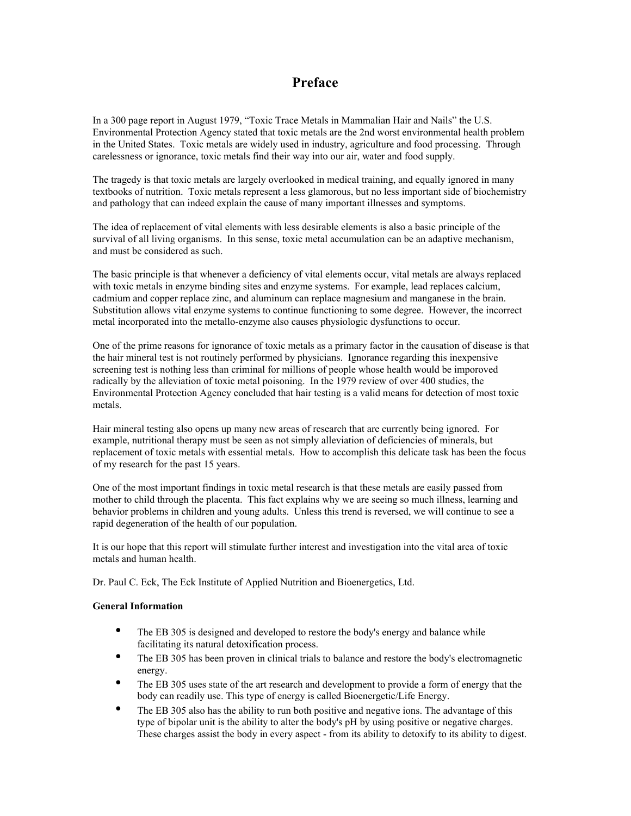# **Preface**

In a 300 page report in August 1979, "Toxic Trace Metals in Mammalian Hair and Nails" the U.S. Environmental Protection Agency stated that toxic metals are the 2nd worst environmental health problem in the United States. Toxic metals are widely used in industry, agriculture and food processing. Through carelessness or ignorance, toxic metals find their way into our air, water and food supply.

The tragedy is that toxic metals are largely overlooked in medical training, and equally ignored in many textbooks of nutrition. Toxic metals represent a less glamorous, but no less important side of biochemistry and pathology that can indeed explain the cause of many important illnesses and symptoms.

The idea of replacement of vital elements with less desirable elements is also a basic principle of the survival of all living organisms. In this sense, toxic metal accumulation can be an adaptive mechanism, and must be considered as such.

The basic principle is that whenever a deficiency of vital elements occur, vital metals are always replaced with toxic metals in enzyme binding sites and enzyme systems. For example, lead replaces calcium, cadmium and copper replace zinc, and aluminum can replace magnesium and manganese in the brain. Substitution allows vital enzyme systems to continue functioning to some degree. However, the incorrect metal incorporated into the metallo-enzyme also causes physiologic dysfunctions to occur.

One of the prime reasons for ignorance of toxic metals as a primary factor in the causation of disease is that the hair mineral test is not routinely performed by physicians. Ignorance regarding this inexpensive screening test is nothing less than criminal for millions of people whose health would be imporoved radically by the alleviation of toxic metal poisoning. In the 1979 review of over 400 studies, the Environmental Protection Agency concluded that hair testing is a valid means for detection of most toxic metals.

Hair mineral testing also opens up many new areas of research that are currently being ignored. For example, nutritional therapy must be seen as not simply alleviation of deficiencies of minerals, but replacement of toxic metals with essential metals. How to accomplish this delicate task has been the focus of my research for the past 15 years.

One of the most important findings in toxic metal research is that these metals are easily passed from mother to child through the placenta. This fact explains why we are seeing so much illness, learning and behavior problems in children and young adults. Unless this trend is reversed, we will continue to see a rapid degeneration of the health of our population.

It is our hope that this report will stimulate further interest and investigation into the vital area of toxic metals and human health.

Dr. Paul C. Eck, The Eck Institute of Applied Nutrition and Bioenergetics, Ltd.

#### **General Information**

The EB 305 is designed and developed to restore the body's energy and balance while facilitating its natural detoxification process.

The EB 305 has been proven in clinical trials to balance and restore the body's electromagnetic energy.

The EB 305 uses state of the art research and development to provide a form of energy that the body can readily use. This type of energy is called Bioenergetic/Life Energy.

The EB 305 also has the ability to run both positive and negative ions. The advantage of this type of bipolar unit is the ability to alter the body's pH by using positive or negative charges. These charges assist the body in every aspect - from its ability to detoxify to its ability to digest.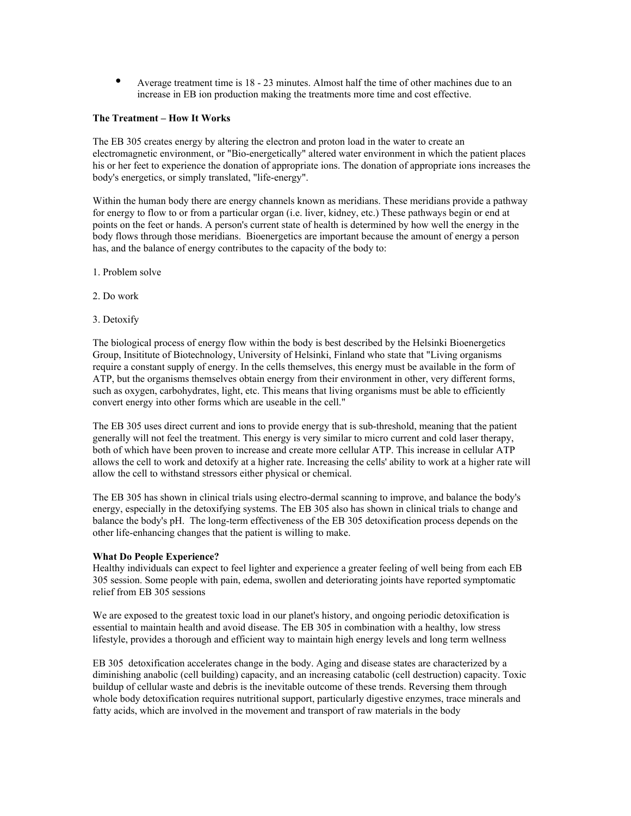Average treatment time is 18 - 23 minutes. Almost half the time of other machines due to an increase in EB ion production making the treatments more time and cost effective.

# **The Treatment – How It Works**

The EB 305 creates energy by altering the electron and proton load in the water to create an electromagnetic environment, or "Bio-energetically" altered water environment in which the patient places his or her feet to experience the donation of appropriate ions. The donation of appropriate ions increases the body's energetics, or simply translated, "life-energy".

Within the human body there are energy channels known as meridians. These meridians provide a pathway for energy to flow to or from a particular organ (i.e. liver, kidney, etc.) These pathways begin or end at points on the feet or hands. A person's current state of health is determined by how well the energy in the body flows through those meridians. Bioenergetics are important because the amount of energy a person has, and the balance of energy contributes to the capacity of the body to:

- 1. Problem solve
- 2. Do work
- 3. Detoxify

The biological process of energy flow within the body is best described by the Helsinki Bioenergetics Group, Insititute of Biotechnology, University of Helsinki, Finland who state that "Living organisms require a constant supply of energy. In the cells themselves, this energy must be available in the form of ATP, but the organisms themselves obtain energy from their environment in other, very different forms, such as oxygen, carbohydrates, light, etc. This means that living organisms must be able to efficiently convert energy into other forms which are useable in the cell."

The EB 305 uses direct current and ions to provide energy that is sub-threshold, meaning that the patient generally will not feel the treatment. This energy is very similar to micro current and cold laser therapy, both of which have been proven to increase and create more cellular ATP. This increase in cellular ATP allows the cell to work and detoxify at a higher rate. Increasing the cells' ability to work at a higher rate will allow the cell to withstand stressors either physical or chemical.

The EB 305 has shown in clinical trials using electro-dermal scanning to improve, and balance the body's energy, especially in the detoxifying systems. The EB 305 also has shown in clinical trials to change and balance the body's pH. The long-term effectiveness of the EB 305 detoxification process depends on the other life-enhancing changes that the patient is willing to make.

#### **What Do People Experience?**

Healthy individuals can expect to feel lighter and experience a greater feeling of well being from each EB 305 session. Some people with pain, edema, swollen and deteriorating joints have reported symptomatic relief from EB 305 sessions

We are exposed to the greatest toxic load in our planet's history, and ongoing periodic detoxification is essential to maintain health and avoid disease. The EB 305 in combination with a healthy, low stress lifestyle, provides a thorough and efficient way to maintain high energy levels and long term wellness

EB 305 detoxification accelerates change in the body. Aging and disease states are characterized by a diminishing anabolic (cell building) capacity, and an increasing catabolic (cell destruction) capacity. Toxic buildup of cellular waste and debris is the inevitable outcome of these trends. Reversing them through whole body detoxification requires nutritional support, particularly digestive enzymes, trace minerals and fatty acids, which are involved in the movement and transport of raw materials in the body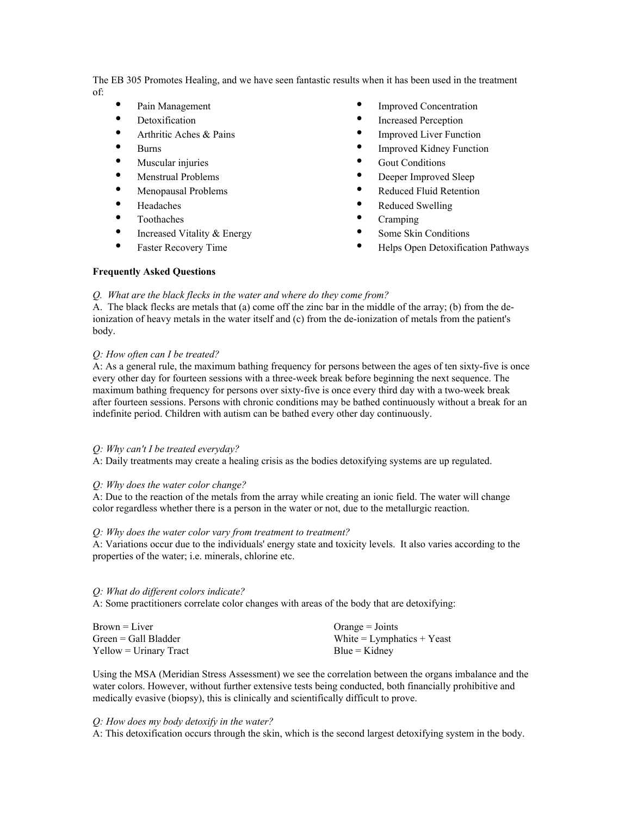The EB 305 Promotes Healing, and we have seen fantastic results when it has been used in the treatment of:

| Pain Management             | <b>Improved Concentration</b>      |
|-----------------------------|------------------------------------|
| Detoxification              | Increased Perception               |
| Arthritic Aches & Pains     | <b>Improved Liver Function</b>     |
| Burns                       | <b>Improved Kidney Function</b>    |
| Muscular injuries           | <b>Gout Conditions</b>             |
| Menstrual Problems          | Deeper Improved Sleep              |
| Menopausal Problems         | <b>Reduced Fluid Retention</b>     |
| Headaches                   | Reduced Swelling                   |
| Toothaches                  | Cramping                           |
| Increased Vitality & Energy | Some Skin Conditions               |
| <b>Faster Recovery Time</b> | Helps Open Detoxification Pathways |
|                             |                                    |

#### **Frequently Asked Questions**

*Q. What are the black flecks in the water and where do they come from?*

A. The black flecks are metals that (a) come off the zinc bar in the middle of the array; (b) from the deionization of heavy metals in the water itself and (c) from the de-ionization of metals from the patient's body.

### *Q: How often can I be treated?*

A: As a general rule, the maximum bathing frequency for persons between the ages of ten sixty-five is once every other day for fourteen sessions with a three-week break before beginning the next sequence. The maximum bathing frequency for persons over sixty-five is once every third day with a two-week break after fourteen sessions. Persons with chronic conditions may be bathed continuously without a break for an indefinite period. Children with autism can be bathed every other day continuously.

#### *Q: Why can't I be treated everyday?*

A: Daily treatments may create a healing crisis as the bodies detoxifying systems are up regulated.

# *Q: Why does the water color change?*

A: Due to the reaction of the metals from the array while creating an ionic field. The water will change color regardless whether there is a person in the water or not, due to the metallurgic reaction.

# *Q: Why does the water color vary from treatment to treatment?*

A: Variations occur due to the individuals' energy state and toxicity levels. It also varies according to the properties of the water; i.e. minerals, chlorine etc.

#### *Q: What do different colors indicate?*

A: Some practitioners correlate color changes with areas of the body that are detoxifying:

| $Brown = Liver$          | $Orange = Joints$              |
|--------------------------|--------------------------------|
| $Green = Gall Bladder$   | White $=$ Lymphatics $+$ Yeast |
| $Yellow = Urinary Tract$ | $Blue = Kidney$                |

Using the MSA (Meridian Stress Assessment) we see the correlation between the organs imbalance and the water colors. However, without further extensive tests being conducted, both financially prohibitive and medically evasive (biopsy), this is clinically and scientifically difficult to prove.

#### *Q: How does my body detoxify in the water?*

A: This detoxification occurs through the skin, which is the second largest detoxifying system in the body.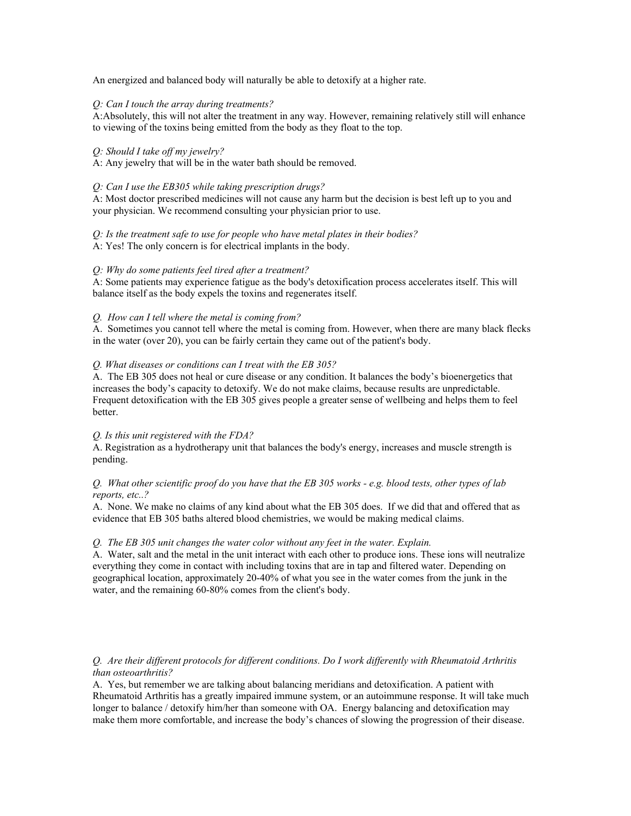An energized and balanced body will naturally be able to detoxify at a higher rate.

# *Q: Can I touch the array during treatments?*

A:Absolutely, this will not alter the treatment in any way. However, remaining relatively still will enhance to viewing of the toxins being emitted from the body as they float to the top.

# *Q: Should I take off my jewelry?*

A: Any jewelry that will be in the water bath should be removed.

### *Q: Can I use the EB305 while taking prescription drugs?*

A: Most doctor prescribed medicines will not cause any harm but the decision is best left up to you and your physician. We recommend consulting your physician prior to use.

*Q: Is the treatment safe to use for people who have metal plates in their bodies?*

A: Yes! The only concern is for electrical implants in the body.

# *Q: Why do some patients feel tired after a treatment?*

A: Some patients may experience fatigue as the body's detoxification process accelerates itself. This will balance itself as the body expels the toxins and regenerates itself.

# *Q. How can I tell where the metal is coming from?*

A. Sometimes you cannot tell where the metal is coming from. However, when there are many black flecks in the water (over 20), you can be fairly certain they came out of the patient's body.

# *Q. What diseases or conditions can I treat with the EB 305?*

A. The EB 305 does not heal or cure disease or any condition. It balances the body's bioenergetics that increases the body's capacity to detoxify. We do not make claims, because results are unpredictable. Frequent detoxification with the EB 305 gives people a greater sense of wellbeing and helps them to feel better.

#### *Q. Is this unit registered with the FDA?*

A. Registration as a hydrotherapy unit that balances the body's energy, increases and muscle strength is pending.

# *Q. What other scientific proof do you have that the EB 305 works - e.g. blood tests, other types of lab reports, etc..?*

A. None. We make no claims of any kind about what the EB 305 does. If we did that and offered that as evidence that EB 305 baths altered blood chemistries, we would be making medical claims.

#### *Q. The EB 305 unit changes the water color without any feet in the water. Explain.*

A. Water, salt and the metal in the unit interact with each other to produce ions. These ions will neutralize everything they come in contact with including toxins that are in tap and filtered water. Depending on geographical location, approximately 20-40% of what you see in the water comes from the junk in the water, and the remaining 60-80% comes from the client's body.

# *Q. Are their different protocols for different conditions. Do I work differently with Rheumatoid Arthritis than osteoarthritis?*

A. Yes, but remember we are talking about balancing meridians and detoxification. A patient with Rheumatoid Arthritis has a greatly impaired immune system, or an autoimmune response. It will take much longer to balance / detoxify him/her than someone with OA. Energy balancing and detoxification may make them more comfortable, and increase the body's chances of slowing the progression of their disease.